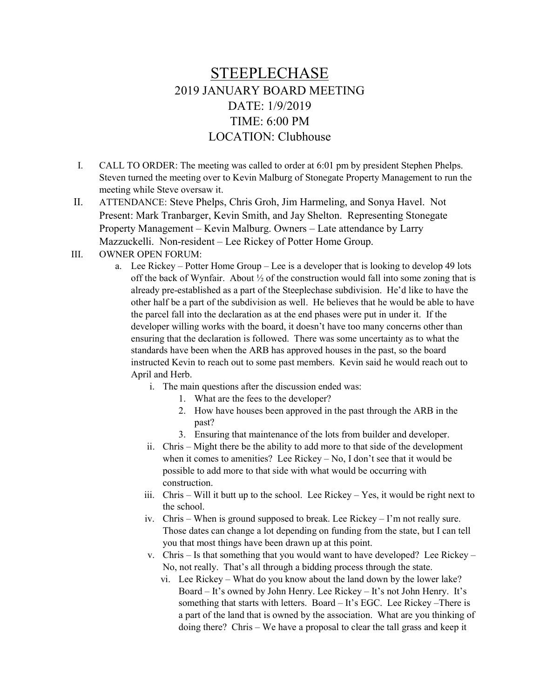## STEEPLECHASE 2019 JANUARY BOARD MEETING DATE: 1/9/2019 TIME: 6:00 PM LOCATION: Clubhouse

- I. CALL TO ORDER: The meeting was called to order at 6:01 pm by president Stephen Phelps. Steven turned the meeting over to Kevin Malburg of Stonegate Property Management to run the meeting while Steve oversaw it.
- II. ATTENDANCE: Steve Phelps, Chris Groh, Jim Harmeling, and Sonya Havel. Not Present: Mark Tranbarger, Kevin Smith, and Jay Shelton. Representing Stonegate Property Management – Kevin Malburg. Owners – Late attendance by Larry Mazzuckelli. Non-resident – Lee Rickey of Potter Home Group.
- III. OWNER OPEN FORUM:
	- a. Lee Rickey Potter Home Group Lee is a developer that is looking to develop 49 lots off the back of Wynfair. About  $\frac{1}{2}$  of the construction would fall into some zoning that is already pre-established as a part of the Steeplechase subdivision. He'd like to have the other half be a part of the subdivision as well. He believes that he would be able to have the parcel fall into the declaration as at the end phases were put in under it. If the developer willing works with the board, it doesn't have too many concerns other than ensuring that the declaration is followed. There was some uncertainty as to what the standards have been when the ARB has approved houses in the past, so the board instructed Kevin to reach out to some past members. Kevin said he would reach out to April and Herb.
		- i. The main questions after the discussion ended was:
			- 1. What are the fees to the developer?
			- 2. How have houses been approved in the past through the ARB in the past?
			- 3. Ensuring that maintenance of the lots from builder and developer.
		- ii. Chris Might there be the ability to add more to that side of the development when it comes to amenities? Lee Rickey – No, I don't see that it would be possible to add more to that side with what would be occurring with construction.
		- iii. Chris Will it butt up to the school. Lee Rickey Yes, it would be right next to the school.
		- iv. Chris When is ground supposed to break. Lee Rickey I'm not really sure. Those dates can change a lot depending on funding from the state, but I can tell you that most things have been drawn up at this point.
		- v. Chris Is that something that you would want to have developed? Lee Rickey No, not really. That's all through a bidding process through the state.
			- vi. Lee Rickey What do you know about the land down by the lower lake? Board – It's owned by John Henry. Lee Rickey – It's not John Henry. It's something that starts with letters. Board – It's EGC. Lee Rickey –There is a part of the land that is owned by the association. What are you thinking of doing there? Chris – We have a proposal to clear the tall grass and keep it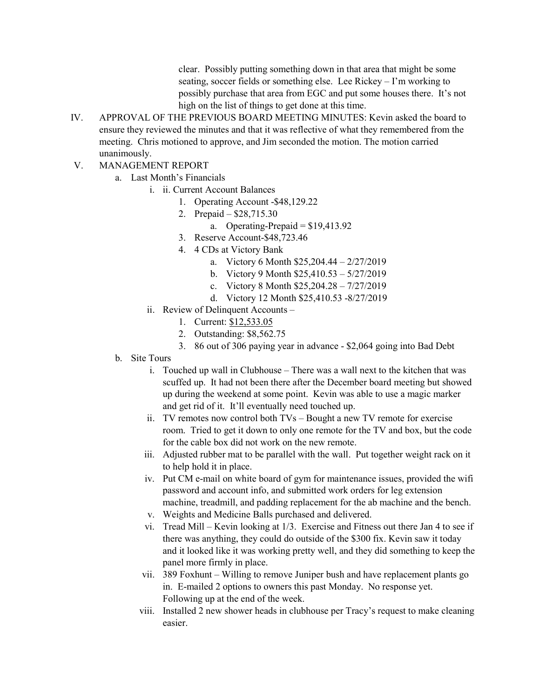clear. Possibly putting something down in that area that might be some seating, soccer fields or something else. Lee Rickey – I'm working to possibly purchase that area from EGC and put some houses there. It's not high on the list of things to get done at this time.

- IV. APPROVAL OF THE PREVIOUS BOARD MEETING MINUTES: Kevin asked the board to ensure they reviewed the minutes and that it was reflective of what they remembered from the meeting. Chris motioned to approve, and Jim seconded the motion. The motion carried unanimously.
- V. MANAGEMENT REPORT
	- a. Last Month's Financials
		- i. ii. Current Account Balances
			- 1. Operating Account -\$48,129.22
			- 2. Prepaid \$28,715.30
				- a. Operating-Prepaid  $= $19,413.92$
			- 3. Reserve Account-\$48,723.46
			- 4. 4 CDs at Victory Bank
				- a. Victory 6 Month \$25,204.44 2/27/2019
				- b. Victory 9 Month \$25,410.53 5/27/2019
				- c. Victory 8 Month \$25,204.28 7/27/2019
				- d. Victory 12 Month \$25,410.53 -8/27/2019
		- ii. Review of Delinquent Accounts
			- 1. Current: \$12,533.05
			- 2. Outstanding: \$8,562.75
			- 3. 86 out of 306 paying year in advance \$2,064 going into Bad Debt
	- b. Site Tours
		- i. Touched up wall in Clubhouse There was a wall next to the kitchen that was scuffed up. It had not been there after the December board meeting but showed up during the weekend at some point. Kevin was able to use a magic marker and get rid of it. It'll eventually need touched up.
		- ii. TV remotes now control both TVs Bought a new TV remote for exercise room. Tried to get it down to only one remote for the TV and box, but the code for the cable box did not work on the new remote.
		- iii. Adjusted rubber mat to be parallel with the wall. Put together weight rack on it to help hold it in place.
		- iv. Put CM e-mail on white board of gym for maintenance issues, provided the wifi password and account info, and submitted work orders for leg extension machine, treadmill, and padding replacement for the ab machine and the bench.
		- v. Weights and Medicine Balls purchased and delivered.
		- vi. Tread Mill Kevin looking at 1/3. Exercise and Fitness out there Jan 4 to see if there was anything, they could do outside of the \$300 fix. Kevin saw it today and it looked like it was working pretty well, and they did something to keep the panel more firmly in place.
		- vii. 389 Foxhunt Willing to remove Juniper bush and have replacement plants go in. E-mailed 2 options to owners this past Monday. No response yet. Following up at the end of the week.
		- viii. Installed 2 new shower heads in clubhouse per Tracy's request to make cleaning easier.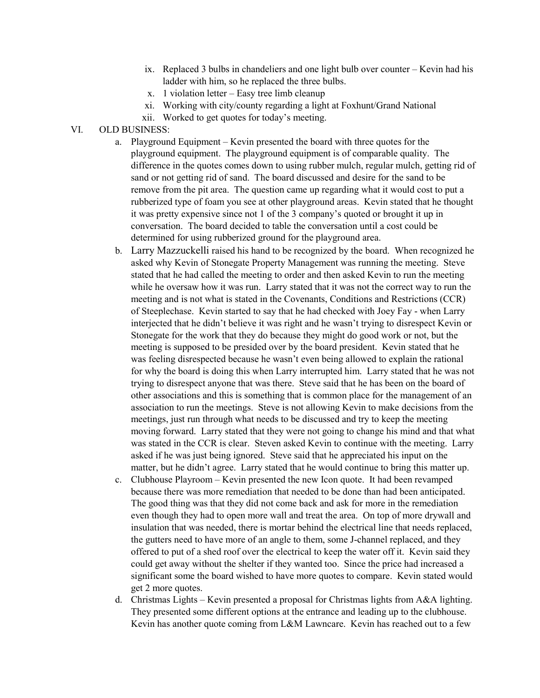- ix. Replaced 3 bulbs in chandeliers and one light bulb over counter Kevin had his ladder with him, so he replaced the three bulbs.
- x. 1 violation letter Easy tree limb cleanup
- xi. Working with city/county regarding a light at Foxhunt/Grand National
- xii. Worked to get quotes for today's meeting.

## VI. OLD BUSINESS:

- a. Playground Equipment Kevin presented the board with three quotes for the playground equipment. The playground equipment is of comparable quality. The difference in the quotes comes down to using rubber mulch, regular mulch, getting rid of sand or not getting rid of sand. The board discussed and desire for the sand to be remove from the pit area. The question came up regarding what it would cost to put a rubberized type of foam you see at other playground areas. Kevin stated that he thought it was pretty expensive since not 1 of the 3 company's quoted or brought it up in conversation. The board decided to table the conversation until a cost could be determined for using rubberized ground for the playground area.
- b. Larry Mazzuckelli raised his hand to be recognized by the board. When recognized he asked why Kevin of Stonegate Property Management was running the meeting. Steve stated that he had called the meeting to order and then asked Kevin to run the meeting while he oversaw how it was run. Larry stated that it was not the correct way to run the meeting and is not what is stated in the Covenants, Conditions and Restrictions (CCR) of Steeplechase. Kevin started to say that he had checked with Joey Fay - when Larry interjected that he didn't believe it was right and he wasn't trying to disrespect Kevin or Stonegate for the work that they do because they might do good work or not, but the meeting is supposed to be presided over by the board president. Kevin stated that he was feeling disrespected because he wasn't even being allowed to explain the rational for why the board is doing this when Larry interrupted him. Larry stated that he was not trying to disrespect anyone that was there. Steve said that he has been on the board of other associations and this is something that is common place for the management of an association to run the meetings. Steve is not allowing Kevin to make decisions from the meetings, just run through what needs to be discussed and try to keep the meeting moving forward. Larry stated that they were not going to change his mind and that what was stated in the CCR is clear. Steven asked Kevin to continue with the meeting. Larry asked if he was just being ignored. Steve said that he appreciated his input on the matter, but he didn't agree. Larry stated that he would continue to bring this matter up.
- c. Clubhouse Playroom Kevin presented the new Icon quote. It had been revamped because there was more remediation that needed to be done than had been anticipated. The good thing was that they did not come back and ask for more in the remediation even though they had to open more wall and treat the area. On top of more drywall and insulation that was needed, there is mortar behind the electrical line that needs replaced, the gutters need to have more of an angle to them, some J-channel replaced, and they offered to put of a shed roof over the electrical to keep the water off it. Kevin said they could get away without the shelter if they wanted too. Since the price had increased a significant some the board wished to have more quotes to compare. Kevin stated would get 2 more quotes.
- d. Christmas Lights Kevin presented a proposal for Christmas lights from A&A lighting. They presented some different options at the entrance and leading up to the clubhouse. Kevin has another quote coming from L&M Lawncare. Kevin has reached out to a few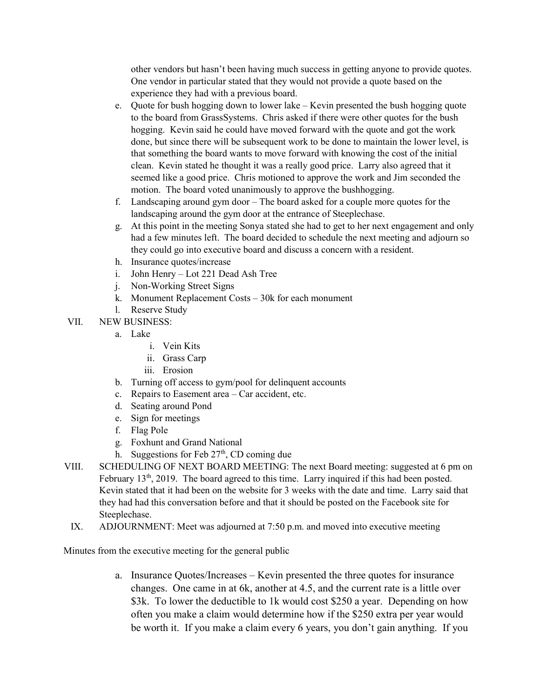other vendors but hasn't been having much success in getting anyone to provide quotes. One vendor in particular stated that they would not provide a quote based on the experience they had with a previous board.

- e. Quote for bush hogging down to lower lake Kevin presented the bush hogging quote to the board from GrassSystems. Chris asked if there were other quotes for the bush hogging. Kevin said he could have moved forward with the quote and got the work done, but since there will be subsequent work to be done to maintain the lower level, is that something the board wants to move forward with knowing the cost of the initial clean. Kevin stated he thought it was a really good price. Larry also agreed that it seemed like a good price. Chris motioned to approve the work and Jim seconded the motion. The board voted unanimously to approve the bushhogging.
- f. Landscaping around gym door The board asked for a couple more quotes for the landscaping around the gym door at the entrance of Steeplechase.
- g. At this point in the meeting Sonya stated she had to get to her next engagement and only had a few minutes left. The board decided to schedule the next meeting and adjourn so they could go into executive board and discuss a concern with a resident.
- h. Insurance quotes/increase
- i. John Henry Lot 221 Dead Ash Tree
- j. Non-Working Street Signs
- k. Monument Replacement Costs 30k for each monument
- l. Reserve Study
- VII. NEW BUSINESS:
	- a. Lake
		- i. Vein Kits
		- ii. Grass Carp
		- iii. Erosion
	- b. Turning off access to gym/pool for delinquent accounts
	- c. Repairs to Easement area Car accident, etc.
	- d. Seating around Pond
	- e. Sign for meetings
	- f. Flag Pole
	- g. Foxhunt and Grand National
	- h. Suggestions for Feb  $27<sup>th</sup>$ , CD coming due
- VIII. SCHEDULING OF NEXT BOARD MEETING: The next Board meeting: suggested at 6 pm on February 13<sup>th</sup>, 2019. The board agreed to this time. Larry inquired if this had been posted. Kevin stated that it had been on the website for 3 weeks with the date and time. Larry said that they had had this conversation before and that it should be posted on the Facebook site for Steeplechase.
	- IX. ADJOURNMENT: Meet was adjourned at 7:50 p.m. and moved into executive meeting

Minutes from the executive meeting for the general public

a. Insurance Quotes/Increases – Kevin presented the three quotes for insurance changes. One came in at 6k, another at 4.5, and the current rate is a little over \$3k. To lower the deductible to 1k would cost \$250 a year. Depending on how often you make a claim would determine how if the \$250 extra per year would be worth it. If you make a claim every 6 years, you don't gain anything. If you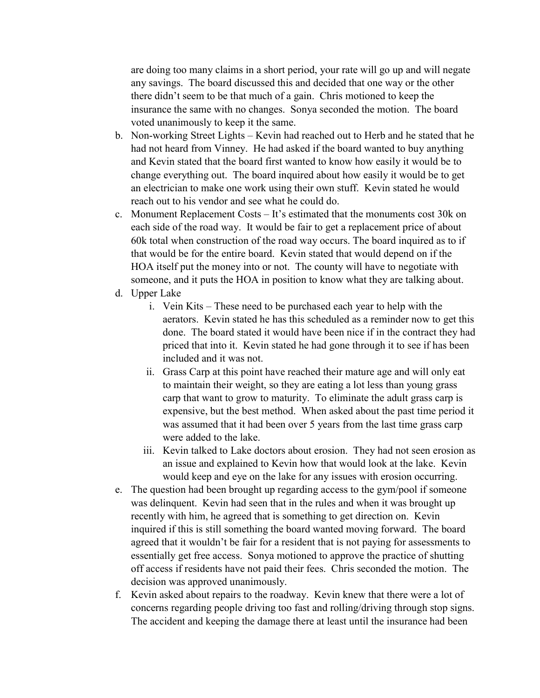are doing too many claims in a short period, your rate will go up and will negate any savings. The board discussed this and decided that one way or the other there didn't seem to be that much of a gain. Chris motioned to keep the insurance the same with no changes. Sonya seconded the motion. The board voted unanimously to keep it the same.

- b. Non-working Street Lights Kevin had reached out to Herb and he stated that he had not heard from Vinney. He had asked if the board wanted to buy anything and Kevin stated that the board first wanted to know how easily it would be to change everything out. The board inquired about how easily it would be to get an electrician to make one work using their own stuff. Kevin stated he would reach out to his vendor and see what he could do.
- c. Monument Replacement Costs It's estimated that the monuments cost 30k on each side of the road way. It would be fair to get a replacement price of about 60k total when construction of the road way occurs. The board inquired as to if that would be for the entire board. Kevin stated that would depend on if the HOA itself put the money into or not. The county will have to negotiate with someone, and it puts the HOA in position to know what they are talking about.
- d. Upper Lake
	- i. Vein Kits These need to be purchased each year to help with the aerators. Kevin stated he has this scheduled as a reminder now to get this done. The board stated it would have been nice if in the contract they had priced that into it. Kevin stated he had gone through it to see if has been included and it was not.
	- ii. Grass Carp at this point have reached their mature age and will only eat to maintain their weight, so they are eating a lot less than young grass carp that want to grow to maturity. To eliminate the adult grass carp is expensive, but the best method. When asked about the past time period it was assumed that it had been over 5 years from the last time grass carp were added to the lake.
	- iii. Kevin talked to Lake doctors about erosion. They had not seen erosion as an issue and explained to Kevin how that would look at the lake. Kevin would keep and eye on the lake for any issues with erosion occurring.
- e. The question had been brought up regarding access to the gym/pool if someone was delinquent. Kevin had seen that in the rules and when it was brought up recently with him, he agreed that is something to get direction on. Kevin inquired if this is still something the board wanted moving forward. The board agreed that it wouldn't be fair for a resident that is not paying for assessments to essentially get free access. Sonya motioned to approve the practice of shutting off access if residents have not paid their fees. Chris seconded the motion. The decision was approved unanimously.
- f. Kevin asked about repairs to the roadway. Kevin knew that there were a lot of concerns regarding people driving too fast and rolling/driving through stop signs. The accident and keeping the damage there at least until the insurance had been